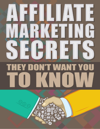# E P  $\frac{1}{2}$  $\blacklozenge$  $\begin{array}{c} \hline \end{array}$  $\overline{\mathbf{r}}$ U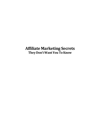# **Affiliate Marketing Secrets They Don'tWantYouToKnow**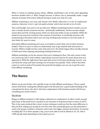When it comes to making money online, affiliate marketing is one of the most appealing business models there is. Why? Simply because it allows you to potentially make a large amount of money from home without having to trade your time for cash.

Affiliate marketing is not easy and anyone who thinks otherwise is in for an unpleasant surprise. Likewise, it isn't a 'get rich quick scheme' and it *does* involve a lot of work.

That said though, once you're set up with your affiliate marketing business model, you can earn a steady stream of *passive* income – potentially indefinitely. Passive income simply means that you'll be earning money while you sleep and while you go on holiday. While the initial set-up may have involved a fair amount of work then, it eventually becomes selfperpetuating to the point where you can stop working and continue to sow the seeds of your labor for years to come.

And while affiliate marketing isn't easy, it certainly is *easier* than a lot of other business models. That is to say it is easier to understand, easy to get started with and easier to execute. While it might involve some trial and error, the initial stages often actually amount to little more than copying and pasting existing businesses!

Affiliate marketing *can* be the answer that you're looking for then. The only caveat is that you need to go into it with realistic expectations and you need to be smart about how you approach it. With the right know-how and with access to the best marketing 'secrets', you can hack this setup and start earning a lot of money very quickly. That's where this book comes in: read on and we'll examine the powerful strategies you can use to get the most from affiliate marketing.

#### **The Basics**

Before we go any further, let's quickly recap on what affiliate marketing *is*. There a good chance that those reading this eBook/report will already have a good understanding of the concept but for those who don't, this basic explanation of the business model will tell you everything you need to know…

#### The Set-Up

Being an affiliate marketer is like being a salesman on commission. In other words, you get paid some of the profit from a product as an incentive to help the product creator to sell it. This is the same method that a door-to-door salesman would use but the main difference is that you'll be selling your products over the *web*. This essentially gives you the potential to reach a *far* greater audience of buyers and to sell a far bigger amount of products. So instead of selling Sky TV to three people a day, you're now able to sell an eBook to 10, 20, 100 or 1,000 people daily depending on how good you are.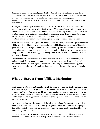At the same time, selling digital products like eBooks (which affiliate marketing often revolves around) means that there are no overheads for the product creator. There are no associated manufacturing costs, no storage requirements, no packaging, no delivery… and that means that you're getting almost 100% profit from the sale price to split between you.

Better yet, because digital product manufacturers are able to scale their operations so easily, they're often willing to offer 40, 60 or even *75* percent of their profits for each sale. Sometimes they even offer their marketers to use the marketing materials they've already created: things like e-mails, blog posts, landing pages and more. They're happy to do this because any win for you is also a win for them. This is how it's possible to create an online business by simply 'copying and pasting' someone else's business!

As an affiliate marketer then, your job will be to find products you can sell – probably these will be found on affiliate networks such as JVZoo and Clickbank. After that, you'll then be given a referral link that you can use to recommend the product to people. If someone buys the product through that link, they'll go through a redirect that will store cookies on their computer and the sale will be logged as having come from you. You can then withdraw your cash at your leisure.

The skill of an affiliate marketer then and what ultimately will allow you to thrive, is the ability to reach the right audience and to make the product sound desirable. This will ultimately be achieved through a combination of PPC (pay per click advertising), SEO (search engine optimization), email marketing, social media marketing and other similar techniques.

### **What to Expect From Affiliate Marketing**

The first and most important consideration before you get started with affiliate marketing is to know what you want to get out of it. This may sound like the 'boring stuff' and perhaps you just want to get stuck in as quickly as possible; in fact though, not knowing your goals or having the wrong expectations can be a huge setback if you don't take the time to think this through. It's no exaggeration to say that this is a big part of why a lot of people fail at affiliate marketing.

Largely responsible for this issue, are all the adverts that flood Facebook telling you that you can earn thousands of dollars a day by just posting a few ads. Then there are people like Tai Lopez, telling you that you can earn millions like them and be a genius billionaire by following their course.

This sets up unrealistic expectations and leads to people going into affiliate marketing underprepared and with a lot of false hope. It also leads to some serious mistakes.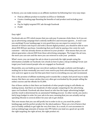In theory, you can make money as an affiliate marketer by following four very easy steps:

- Find an affiliate product to market on JVZoo or Clickbank
- Create a landing page flaunting the benefits of said product and including your link
- Pay for highly targeted PPC ads through Facebook
- Profit!

#### Easy right?

Facebook ads are PPC which means that you only pay if someone clicks them. So if you setup an advertising campaign that's entirely ineffective and everyone ignores… it won't cost you anything! If your landing page is very good then you can expect to convert a fair amount of visitors into buyers and with a decent digital product, you should be able to earn about \$30-\$50 per purchase. Considering that you'll only be paying a few cents for each customer – who has already shown an interest in your product – that means that you can almost guarantee a decent ROI from those advertising campaigns. The longer the ad runs, the more you can earn and the more you can reinvest to scale your products.

What's more, you can target the ads to show to precisely the right people using the information available on Facebook. Got a book on how to plan a cheap wedding? Great: just target your book toward people who are engaged on Facebook!

Meanwhile, you can build up your own direct audience through a website and through a mailing list so that eventually you won't even *need* to pay from advertising and you can sell over and over again to your list that puts their trust in everything you say and recommend.

This is the promise of affiliate marketing and it sounds like a simple, fool-proof way to make money. But there are some catches that very often get overlooked by the people selling the online courses and the eBooks for \$1,000.

One of these catches is that there are hundreds of other people trying to sell eBooks on making money. And there are hundreds of other people competing for the advertising space on Facebook. Facebook ads show based on who has the larger advertising budget and the result is determined by an automated 'bidding process'. In other words, you need a fairly large budget in order for your ads to be seen, meaning that you can actually end up spending 50cents to several *dollars* for your ads to get clicked.

This now means that you can still profit, but in order to do so, you need the *perfect*  landing page and the perfect product for the ideal audience. These are a lot of factors that you're frankly unlikely to get right the very first time. As a result, it's not uncommon to end up sinking huge amounts of money into PPC before you land on a good set-up with the right targeting, the right ad text, the right product *etc.*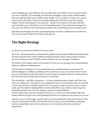As for building your own audience, this can often take *years* before you're at a point where you don't need PPC. If you thought you'd be the top blogger in your niche within months, then you unfortunately need a reality check. Rather, you can expect it to take you a year or *more* to get to this point. And far from doing nothing, this will have to involve writing regular content and doing lots of promotion – almost to the extent of it being a full time job. And while you're doing this, you *won't* be getting paid for the work you're doing. A lot of us just can't afford to put such a big investment into something that isn't paying out yet.

And when you had gone into this, expecting that you would be a millionaire by month two, it's very easy to get disheartened and to just give up.

### **The Right Strategy**

So what can you do about all this? Is it a lost cause?

Not at all – there genuinely are thousands of people who have made affiliate marketing work for them and who have earned *millions* of dollars doing it. JVZoo's elite program requires you to be making at least \$10,000 a month and there are no shortage of members.

The trick is to be realistic and to set up a plan for how you can manage your current lifestyle with your affiliate marketing aims.

The first key to doing this is to set yourself up to win: stack the deck in your favour by understanding how affiliate marketing works and what you can do to ensure that it works *for you*. In this eBook, you'll learn how to avoid common mistakes and how to find products that sell much more easily and cost you less to advertise.

The second key – and this is important – is to have moderate aims *to begin with*. Don't set out to be a billionaire. Instead, set out to supplement your current income with an extra \$50 a week. That doesn't sound like much but it's very easy to achieve and once you're at that point, you'll actually be making \$200 a month and \$2,400 a year. That's a rather big raise, especially seeing as you won't be taking on any extra responsibilities. You'll be able to go on an extra holiday every year, or to dine out every month with your

family without any guilt. How about getting that slick new computer you've had your eye on?

And once you're at *that* stage, you'll be able to start investing more time and money in order to grow your business further. We'll look at how to scale a successful affiliate marketing business model later and you'll see that you can very easily go from this to internet domination!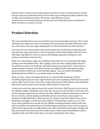Finally: choose a niche that you enjoy and that you know. If you can sell products in a niche that you enjoy and understand, then you'll be able to turn writing about those subjects into a hobby and something you enjoy. This makes a big difference to your eventual success and means that you can take your eye off the goal and not only think of these activities as a means to an end.

### **Product Selection**

The most important key to your success before you set out is product selection. This is what will help you to make sure there's an audience for your product and what will dictate what you write about, who your target demographic is, how much profit you make and more.

So to start out, you need to make a list of all the niches you would enjoy writing about and that you have some experience in. This isn't going to come into play right at the start but it will make a big difference when it comes to promoting a blog and creating your own audience somewhere down the line.

What we're interested in right now is finding a niche that isn't over-saturated with digital products and with affiliate offers. We're going to start out with a digital product because this will give you the most profit per sale which means you can get more revenue from a smaller number of buyers. Later down the line, you might become interested in selling physical products which have a much broader appeal – you can read the full Affiliate Marketing Secrets eBook for an in-depth treatise on that subject.

When you take a look at the digital products on a network like Clickbank or JVZoo, something might jump out at you right from the start: they're almost exclusively in the 'make money online' niche. In fact, if you take a look at the network 'WSO' (Warrior Special Offers) then you'll notice that this one is actually *100%* products in that niche.

I want you to resist the urge to choose this as your first niche. Why? Because as you can see, it is already a highly competitive area to get into. If you try to sell a product in this area, then you'll be going up against pretty much every other affiliate marketer and product creator on the net. As such, you'll be paying *considerably* more for each of your ads to appear on Facebook, Google AdWords or wherever else you choose to put them. What's more, you'll find that you struggle to stand out to that audience. This particular audience is *very* web savvy, they probably know exactly how the affiliate marketing business model works and they've probably encountered some real duff products in this niche. Even if you've chosen a product that is genuinely very high quality, your offer will still be looked upon cynically and they will assume that you're just out to make money. They've been burned before, they're inundated with such offers and it takes a lot more marketing to sell to them.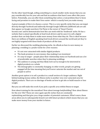On the other hand though, selling something to a much smaller niche means that you can pay considerably less for your ads and find an audience that hasn't seen offers like yours before. Potentially, you can offer them something that solves a real problem they've been facing and promises to make their lives easier: which is exactly how you make money.

A great example of this is to choose a career. This is a very specific niche that you can target directly through Facebook and indirectly through Google AdWords (AdWords ads are ads that appear on Google searches). Pat Flynn is the owner of 'Smart Passive Income.com' and he demonstrates how this can work with his 'foodtruck' niche. He has a website that is aimed specifically at food truck drivers and he uses it to sell a digital product that can help them to make more money from what they do. This is ideal because there are millions of English-speaking food truck drivers around the world and yet they're not highly targeted with these kinds of products all the time.

Earlier we discussed the wedding planning niche. An eBook on how to save money on planning a wedding is a *perfect* niche for a few reasons:

- It's not over saturated with similar digital products
- The book promises to save money, thus making it an *investment*
- It's easy to target people place their relationship status on Facebook and use a lot of predictable searches when they're planning weddings
- The audience is young and thus likely tech-savvy enough to be interested in digital products as a whole
- The demographic is constantly changing: in other words, people are getting engaged all the time meaning that you'll never saturate the market and run out of people to sell to

Another great option is to sell a product to a small section of a larger audience. Right behind making money online, the fitness niche is another very over-saturated area for digital products. There are *no* shortage of books on how to get abs or build muscle or lose weight.

But you can still make this work if you pick a specific area within fitness to target.

How about training for the marathon? How about teenage bodybuilding? How about fitness for the over 50s? These are once again specific niches that are constantly replenishing and that give you a huge number of potential customers. What's more, these areas allow you to subsequently branch out with future products which means that you can make more money from your market in future.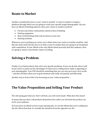#### **Route to Market**

Another consideration here is your 'route to market'. A route to market is simply a platform through which you are going to reach your specific target demographic. Say you have an eBook of knitting patterns, then your routes to market would be:

- Forums and online communities aimed at fans of knitting
- Knitting magazines
- Real-world knitting clubs and societies in your area
- Knitting websites

Whenever you're picking your niche, try to think what your routes to market would be. And like the niche itself, the key here is to find a route to market that isn't going to be inundated with competition. If your eBook is the *only* eBook aimed precisely that this audience, then it's going to stand a *much* better chance of selling.

#### **Solving a Problem**

Finally, try to find products that solve very specific problems. If you can do this, then it will be *far* easier to point out the advantages of what you're selling and to make it appealing to your demographic. Your USP should be something that you can sum up in just a few words – and this will then allow you to grab attention and really sell quickly and efficiently.

Another way to look at this is by focussing on your 'value proposition'…

#### **The Value Proposition and Selling Your Product**

The old saying goes that you 'don't sell hats, you sell warm heads'. What does this mean?

It means that you don't sell products themselves but rather you sell what the product can *do* for your audience.

So if you have an eBook on how to get amazing abs, it's not the eBook that you're selling but the abs. More than that, it's actually the attention from the opposite sex, the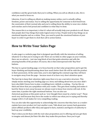confidence and the great looks that you're selling. When you sell an eBook on abs, *this* is what you need to focus on.

Likewise, if you're selling an eBook on making money online, you're actually selling freedom, power and status. You're selling the opportunity for someone to feel freed from the constraints of their normal jobs and you're selling them the ability to wear nice clothes and watches and to feel proud and confident in what they've done.

The reason this is so important, is that it's what will actually help your products to sell. Know that people don't buy things that make logical sense to buy. People tend to buy things on an emotional impulse and on a whim. Thus, you need to push the *emotional* buttons of your buyer in order to get them to click that call to action button.

#### **How to Write Your Sales Page**

A sales page is a website page that is designed specifically with the intention of selling whatever it is that you're trying to sell. There are no links to other pages on your website, there are no adverts – just one long block of text that grabs attention and sells the amazing benefits of the product. Of course, this is then interspersed with 'Buy Now' buttons.

The key to a great landing page, is to focus heavily on that value proposition and to get the buyer thinking and daydreaming about how much better their life will be with the product in their possession. At the same time, you're also fighting the constant urge they will have to navigate away from the page – because most of us have very short attention spans.

The best tip to keep their attention right away then is to use a narrative structure. This simply means starting your landing page as a story and talking about how you once didn't have abs/didn't know how to plan a wedding/were rubbish a cooking… You lay this on thick and show that you sympathize with your reader. This gets them reading and makes it hard for them to turn away because we always want to know how stories will end. At the same time, it pushes the right emotional buttons. You can also use rhetorical questions at this point such as: 'ever thought there must be a better way?'. These work very well because they force the reader to reflect one what you're saying and thereby engage with it. It all makes for very compelling reading.

You can also take this opportunity to acknowledge the concerns that they have as a reader: explain how your product *isn't* just another scam. Talk about your money back guarantee (most affiliate products offer this) and appeal to facts, statistics and figures of authority to back up your credibility.

That's when you hit them with the real value proposition you're offering and you get them to imagine and almost *feel* their life after they make this purchase. Once you've got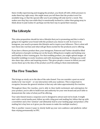them vividly experiencing and imaging the product, you finish off with a little pressure to make them buy right away: this might mean you tell them that the product won't be available long, or that the special offer you're providing will only last for a week. This makes sure they buy *now* while they're emotionally inclined to, rather than going away to think about it (and realise it's perhaps not the best way to spend their money).

## **The Lifestyle**

This value proposition should tie into a lifestyle that you're promoting and this is what's going to tie together your brand with the products you choose to sell. So if you're on Instagram, you need to promote this lifestyle and to *inspire* your followers. This is what will turn them into real fans and what will get them excited for the products you're offering.

If you have a fitness product then, your Instagram, Pinterest and Twitter should be filled with pictures of people working out on the beach, lifting heavy weights and looking sexy and healthy in their training gear. For that wedding product, you might upload images of beautiful weddings in exotic locations and with stunning decorations. Perhaps you could also share tips, advice and inspiring stories. This gives people a reason to follow you and warms them up to the idea of the product you'll be selling to them intermittently.

### **The Five Touches**

This brings us nicely on to the idea of the sales funnel. You can consider a post on social media to be 'one touch' – or one interaction with your audience. This is important to recognize, because the general wisdom is that any sale takes approximately five touches.

Throughout these five touches, you're able to then build excitement and anticipation for your product, you're able to build trust and authority for your own brand and you'll able to demonstrate the value of what you'll be offering.

Your sales funnel means a sequence you've designed to attract and reel in leads. It might start with a social media post, follow up with a blog post and mailing list, follow that up with a newsletter and a free 'seminar' and ultimately lead to your landing page and product. (The mailing list is key here as it gives you the means to make the multiple touches.)

This is another reason it pays to slowly build up your own audience and platform rather than relying permanently on PPC.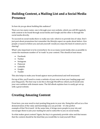# **Building Content, a Mailing List and a Social Media Presence**

So how do you go about building this audience?

There are two main routes: one is through your own website, which you will fill regularly with content to be found through social media and Google and the other is through the social media directly.

To succeed on social media there is really one rule: which is to provide lots of value. Don't just post about promotions but remember the lifestyle aspect we spoke about before. Give people a reason to follow you and ask yourself: would *you* enjoy the kind of content you're sharing?

What's also important is to be everywhere: be on as many social media sites as possible to create the maximum number of 'in-roads' to your content. This should at least mean:

- Facebook
- Twitter
- Instagram
- Pinterest
- LinkedIn
- Google+
- Tumblr

This also helps to make your brand appear more professional and well structured.

On top of this, you'll need to create a website of your own to host your landing page and your blog posts. The best way to do this is through WordPress which you'll install onto your own webhost with domain name. The full eBook explains how to easily get set up with a great website.

# **Creating Amazing Content**

From here, you now need to start posting blog posts to your site. Doing this will act as a free demonstration of the value and knowledge you can provide – it's the perfect example of that 'first touch'. At the same time, it brings more people to your site and encourages them to join your mailing list and to subscribe to you on social media.

So what makes great content? Again, the key is to genuinely provide value and that means that the content should be the kind that *you* would like to read yourself. Most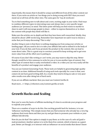importantly, this means that it should be *unique* and different from all the other content out there. If you write an article on 'ten things you're doing wrong with SEO' then you won't stand out at all from all the other sites. The same goes for 'top ab workouts'.

Try to find something new to talk about and a new, exciting angle in your niche. Find ways to combine different topics in interesting ways and always have a very specific target audience (or 'persona') in mind. This latter point will help you find routes to market to share to and it will encourage people to share – either to express themselves or to share the content with people they think will like it.

Make sure the articles are in-depth and that they have been well-researched. Ideally, they should be about 1,800 words long. Remember how important we said it was to choose a niche that you'd enjoy discussing? This is why!

Another thing to note is that there is nothing stopping you from using your articles *as*  landing pages. All you need to do is to take your affiliate link and to embed it in the body of your text. If you do that, and if you promote the product in the content, this can lead to some direct sales. This is a great way to convince yourself to keep writing and to get even more value from all the effort you're putting in.

Of course if you don't like writing or *can't* write, you may want to skip this step. Better though, would be to hire someone to write for you or to use another type of content. One other type of content that is vastly overlooked is video. In a video you can very easily sell the benefits of a product and engage your audience.

You can use Content Generating Tools. These tools are helpful in generating high-quality content in no time. Additional benefit of using such tools specially for a new is that, new comers do not have good writing skill. As a result, they tend to bring no sale or very poor sales results even after doing lots of hard work.

If you are an affiliate marketer then you must use Content Gorilla AI.

Read more…>> https://cthestore.com/content-gorilla-ai-tools

# **Growth Hacks and Scaling**

Now you've seen the basics of affiliate marketing, it's time to accelerate your progress and to explode your profits.

There are a number of ways to do this. One exciting growth hack for instance, is to use 'influencer marketing'. This simply means that you find someone who already has a very big audience that trusts them and then you try and get them to promote your website or your affiliate link directly.

How do you do that? One option is simply to pay them: as in the case of a solo ad (paid email promotion). Another option is to write them free content, which is known as a guest post. Better yet though, is to interact with an influencer on social media that doesn't know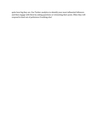quite how big they are. Use Twitter analytics to identify your most influential followers and then engage with them by asking questions or retweeting their posts. Often they will respond in kind out of politeness if nothing else!